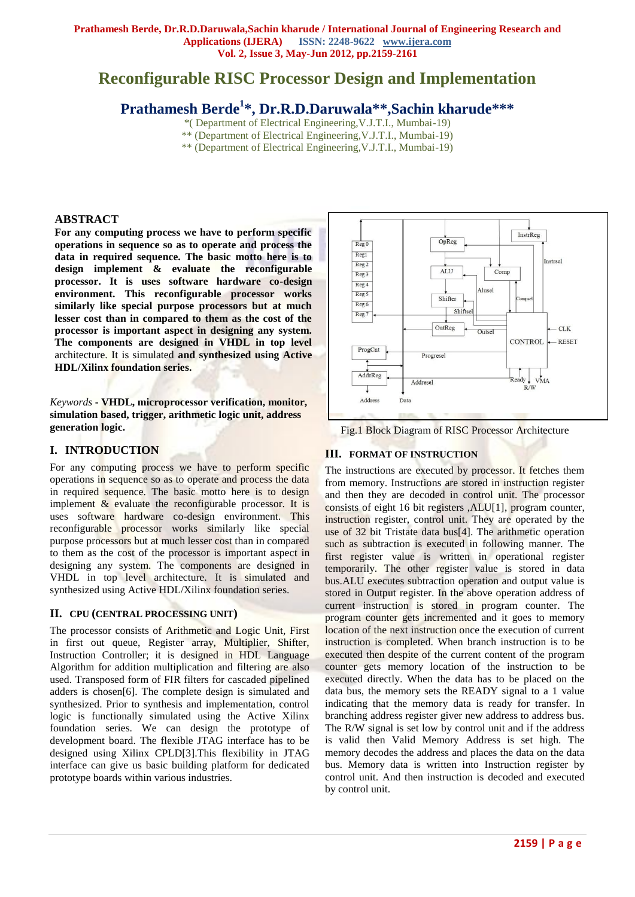# **Reconfigurable RISC Processor Design and Implementation**

# **Prathamesh Berde<sup>1</sup> \*, Dr.R.D.Daruwala\*\*,Sachin kharude\*\*\***

\*( Department of Electrical Engineering,V.J.T.I., Mumbai-19)

- \*\* (Department of Electrical Engineering,V.J.T.I., Mumbai-19)
	- \*\* (Department of Electrical Engineering,V.J.T.I., Mumbai-19)

#### **ABSTRACT**

**For any computing process we have to perform specific operations in sequence so as to operate and process the data in required sequence. The basic motto here is to design implement & evaluate the reconfigurable processor. It is uses software hardware co-design environment. This reconfigurable processor works similarly like special purpose processors but at much lesser cost than in compared to them as the cost of the processor is important aspect in designing any system. The components are designed in VHDL in top level** architecture. It is simulated **and synthesized using Active HDL/Xilinx foundation series.** 

*Keywords* **- VHDL, microprocessor verification, monitor, simulation based, trigger, arithmetic logic unit, address generation logic.** 

#### **I. INTRODUCTION**

For any computing process we have to perform specific operations in sequence so as to operate and process the data in required sequence. The basic motto here is to design implement  $\&$  evaluate the reconfigurable processor. It is uses software hardware co-design environment. This reconfigurable processor works similarly like special purpose processors but at much lesser cost than in compared to them as the cost of the processor is important aspect in designing any system. The components are designed in VHDL in top level architecture. It is simulated and synthesized using Active HDL/Xilinx foundation series.

#### **II. CPU (CENTRAL PROCESSING UNIT)**

The processor consists of Arithmetic and Logic Unit, First in first out queue, Register array, Multiplier, Shifter, Instruction Controller; it is designed in HDL Language Algorithm for addition multiplication and filtering are also used. Transposed form of FIR filters for cascaded pipelined adders is chosen[6]. The complete design is simulated and synthesized. Prior to synthesis and implementation, control logic is functionally simulated using the Active Xilinx foundation series. We can design the prototype of development board. The flexible JTAG interface has to be designed using Xilinx CPLD[3].This flexibility in JTAG interface can give us basic building platform for dedicated prototype boards within various industries.



Fig.1 Block Diagram of RISC Processor Architecture

#### **III. FORMAT OF INSTRUCTION**

The instructions are executed by processor. It fetches them from memory. Instructions are stored in instruction register and then they are decoded in control unit. The processor consists of eight 16 bit registers ,ALU[1], program counter, instruction register, control unit. They are operated by the use of 32 bit Tristate data bus[4]. The arithmetic operation such as subtraction is executed in following manner. The first register value is written in operational register temporarily. The other register value is stored in data bus.ALU executes subtraction operation and output value is stored in Output register. In the above operation address of current instruction is stored in program counter. The program counter gets incremented and it goes to memory location of the next instruction once the execution of current instruction is completed. When branch instruction is to be executed then despite of the current content of the program counter gets memory location of the instruction to be executed directly. When the data has to be placed on the data bus, the memory sets the READY signal to a 1 value indicating that the memory data is ready for transfer. In branching address register giver new address to address bus. The R/W signal is set low by control unit and if the address is valid then Valid Memory Address is set high. The memory decodes the address and places the data on the data bus. Memory data is written into Instruction register by control unit. And then instruction is decoded and executed by control unit.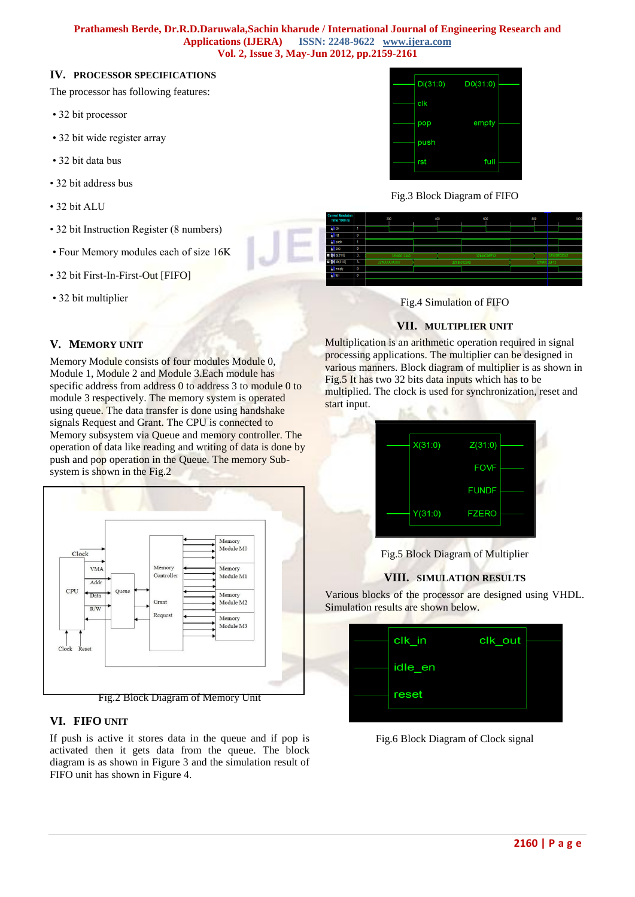#### **Prathamesh Berde, Dr.R.D.Daruwala,Sachin kharude / International Journal of Engineering Research and Applications (IJERA) ISSN: 2248-9622 www.ijera.com Vol. 2, Issue 3, May-Jun 2012, pp.2159-2161**

#### **IV. PROCESSOR SPECIFICATIONS**

The processor has following features:

- 32 bit processor
- 32 bit wide register array
- 32 bit data bus
- 32 bit address bus
- 32 bit ALU
- 32 bit Instruction Register (8 numbers)
- Four Memory modules each of size 16K
- 32 bit First-In-First-Out [FIFO]
- 32 bit multiplier

#### $Di(31:0)$  $D0(31:0)$  $c$ lk pop empty nush full rst

Fig.3 Block Diagram of FIFO



Fig.4 Simulation of FIFO

#### **VII. MULTIPLIER UNIT**

Multiplication is an arithmetic operation required in signal processing applications. The multiplier can be designed in various manners. Block diagram of multiplier is as shown in Fig.5 It has two 32 bits data inputs which has to be multiplied. The clock is used for synchronization, reset and start input. и£. ● 4

| X(31:0) | Z(31:0)      |  |
|---------|--------------|--|
|         | <b>FOVF</b>  |  |
|         | <b>FUNDF</b> |  |
| Y(31:0) | <b>FZERO</b> |  |
|         |              |  |

Fig.5 Block Diagram of Multiplier

#### **VIII. SIMULATION RESULTS**

Various blocks of the processor are designed using VHDL. Simulation results are shown below.

| clk_in  | clk_out |  |
|---------|---------|--|
| idle_en |         |  |
| reset   |         |  |
|         |         |  |

Fig.6 Block Diagram of Clock signal

#### **V. MEMORY UNIT**

Memory Module consists of four modules Module 0, Module 1, Module 2 and Module 3.Each module has specific address from address 0 to address 3 to module 0 to module 3 respectively. The memory system is operated using queue. The data transfer is done using handshake signals Request and Grant. The CPU is connected to Memory subsystem via Queue and memory controller. The operation of data like reading and writing of data is done by push and pop operation in the Queue. The memory Subsystem is shown in the Fig.2



#### **VI. FIFO UNIT**

If push is active it stores data in the queue and if pop is activated then it gets data from the queue. The block diagram is as shown in Figure 3 and the simulation result of FIFO unit has shown in Figure 4.